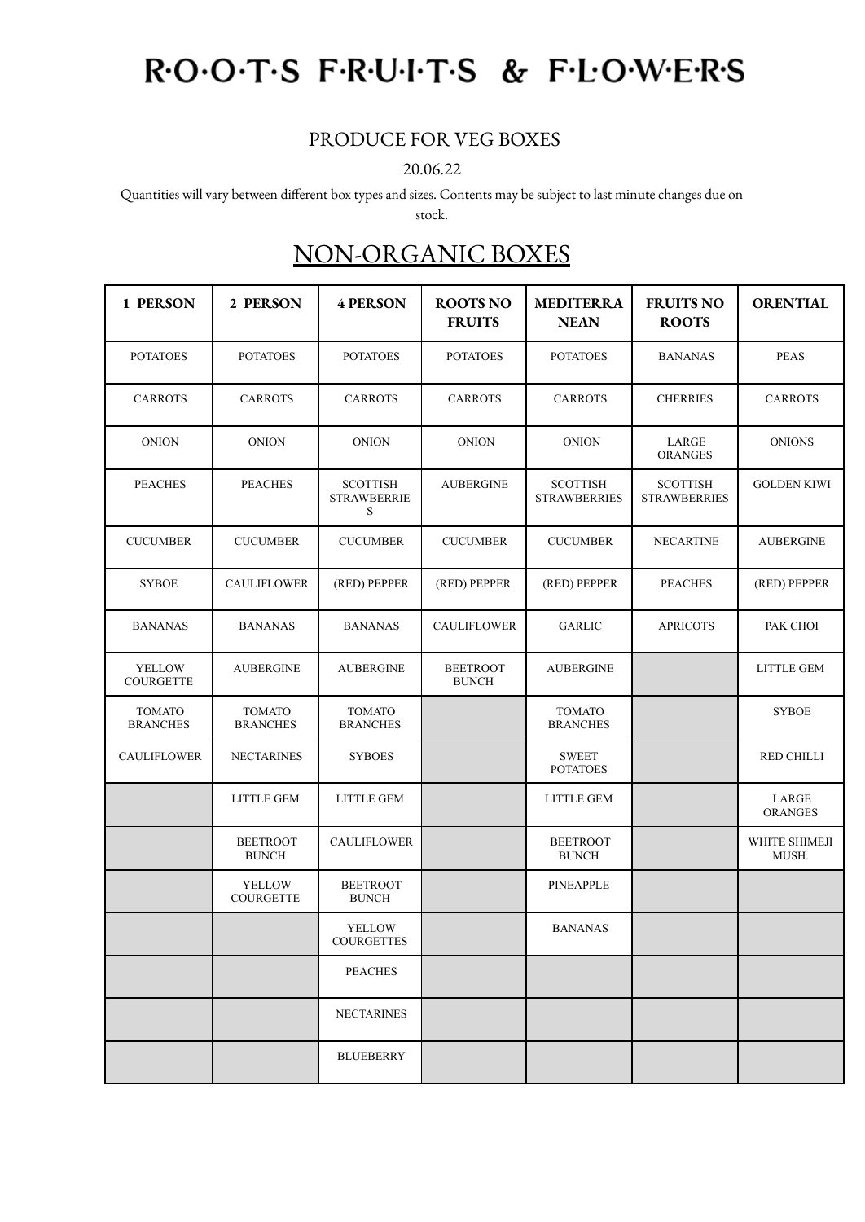## ROOTS FRUITS & FLOWERS

## PRODUCE FOR VEG BOXES

20.06.22

Quantities will vary between different box types and sizes. Contents may be subject to last minute changes due on

stock.

## NON-ORGANIC BOXES

| 1 PERSON                          | 2 PERSON                          | <b>4 PERSON</b>                            | <b>ROOTS NO</b><br><b>FRUITS</b> | <b>MEDITERRA</b><br><b>NEAN</b>        | <b>FRUITS NO</b><br><b>ROOTS</b>       | <b>ORENTIAL</b>         |
|-----------------------------------|-----------------------------------|--------------------------------------------|----------------------------------|----------------------------------------|----------------------------------------|-------------------------|
| <b>POTATOES</b>                   | <b>POTATOES</b>                   | <b>POTATOES</b>                            | <b>POTATOES</b>                  | <b>POTATOES</b>                        | <b>BANANAS</b>                         | <b>PEAS</b>             |
| <b>CARROTS</b>                    | <b>CARROTS</b>                    | <b>CARROTS</b>                             | <b>CARROTS</b>                   | <b>CARROTS</b>                         | <b>CHERRIES</b>                        | <b>CARROTS</b>          |
| <b>ONION</b>                      | <b>ONION</b>                      | <b>ONION</b>                               | <b>ONION</b>                     | <b>ONION</b>                           | LARGE<br><b>ORANGES</b>                | <b>ONIONS</b>           |
| <b>PEACHES</b>                    | <b>PEACHES</b>                    | <b>SCOTTISH</b><br><b>STRAWBERRIE</b><br>S | <b>AUBERGINE</b>                 | <b>SCOTTISH</b><br><b>STRAWBERRIES</b> | <b>SCOTTISH</b><br><b>STRAWBERRIES</b> | <b>GOLDEN KIWI</b>      |
| <b>CUCUMBER</b>                   | <b>CUCUMBER</b>                   | <b>CUCUMBER</b>                            | <b>CUCUMBER</b>                  | <b>CUCUMBER</b>                        | <b>NECARTINE</b>                       | <b>AUBERGINE</b>        |
| <b>SYBOE</b>                      | <b>CAULIFLOWER</b>                | (RED) PEPPER                               | (RED) PEPPER                     | (RED) PEPPER                           | <b>PEACHES</b>                         | (RED) PEPPER            |
| <b>BANANAS</b>                    | <b>BANANAS</b>                    | <b>BANANAS</b>                             | <b>CAULIFLOWER</b>               | <b>GARLIC</b>                          | <b>APRICOTS</b>                        | PAK CHOI                |
| <b>YELLOW</b><br><b>COURGETTE</b> | <b>AUBERGINE</b>                  | <b>AUBERGINE</b>                           | <b>BEETROOT</b><br><b>BUNCH</b>  | <b>AUBERGINE</b>                       |                                        | <b>LITTLE GEM</b>       |
| <b>TOMATO</b><br><b>BRANCHES</b>  | <b>TOMATO</b><br><b>BRANCHES</b>  | <b>TOMATO</b><br><b>BRANCHES</b>           |                                  | <b>TOMATO</b><br><b>BRANCHES</b>       |                                        | <b>SYBOE</b>            |
| <b>CAULIFLOWER</b>                | <b>NECTARINES</b>                 | <b>SYBOES</b>                              |                                  | <b>SWEET</b><br><b>POTATOES</b>        |                                        | <b>RED CHILLI</b>       |
|                                   | <b>LITTLE GEM</b>                 | <b>LITTLE GEM</b>                          |                                  | <b>LITTLE GEM</b>                      |                                        | LARGE<br><b>ORANGES</b> |
|                                   | <b>BEETROOT</b><br><b>BUNCH</b>   | <b>CAULIFLOWER</b>                         |                                  | <b>BEETROOT</b><br><b>BUNCH</b>        |                                        | WHITE SHIMEJI<br>MUSH.  |
|                                   | <b>YELLOW</b><br><b>COURGETTE</b> | <b>BEETROOT</b><br><b>BUNCH</b>            |                                  | <b>PINEAPPLE</b>                       |                                        |                         |
|                                   |                                   | <b>YELLOW</b><br><b>COURGETTES</b>         |                                  | <b>BANANAS</b>                         |                                        |                         |
|                                   |                                   | <b>PEACHES</b>                             |                                  |                                        |                                        |                         |
|                                   |                                   | <b>NECTARINES</b>                          |                                  |                                        |                                        |                         |
|                                   |                                   | <b>BLUEBERRY</b>                           |                                  |                                        |                                        |                         |